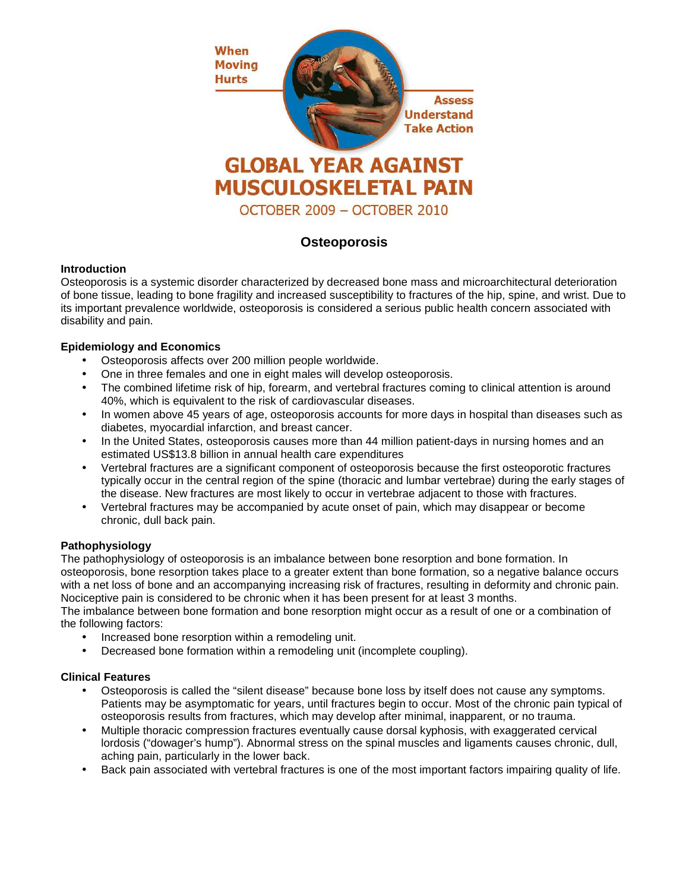

# **Osteoporosis**

### **Introduction**

Osteoporosis is a systemic disorder characterized by decreased bone mass and microarchitectural deterioration of bone tissue, leading to bone fragility and increased susceptibility to fractures of the hip, spine, and wrist. Due to its important prevalence worldwide, osteoporosis is considered a serious public health concern associated with disability and pain.

### **Epidemiology and Economics**

- Osteoporosis affects over 200 million people worldwide.
- One in three females and one in eight males will develop osteoporosis.
- The combined lifetime risk of hip, forearm, and vertebral fractures coming to clinical attention is around 40%, which is equivalent to the risk of cardiovascular diseases.
- In women above 45 years of age, osteoporosis accounts for more days in hospital than diseases such as diabetes, myocardial infarction, and breast cancer.
- In the United States, osteoporosis causes more than 44 million patient-days in nursing homes and an estimated US\$13.8 billion in annual health care expenditures
- Vertebral fractures are a significant component of osteoporosis because the first osteoporotic fractures typically occur in the central region of the spine (thoracic and lumbar vertebrae) during the early stages of the disease. New fractures are most likely to occur in vertebrae adjacent to those with fractures.
- Vertebral fractures may be accompanied by acute onset of pain, which may disappear or become chronic, dull back pain.

### **Pathophysiology**

The pathophysiology of osteoporosis is an imbalance between bone resorption and bone formation. In osteoporosis, bone resorption takes place to a greater extent than bone formation, so a negative balance occurs with a net loss of bone and an accompanying increasing risk of fractures, resulting in deformity and chronic pain. Nociceptive pain is considered to be chronic when it has been present for at least 3 months.

The imbalance between bone formation and bone resorption might occur as a result of one or a combination of the following factors:

- Increased bone resorption within a remodeling unit.
- Decreased bone formation within a remodeling unit (incomplete coupling).

### **Clinical Features**

- Osteoporosis is called the "silent disease" because bone loss by itself does not cause any symptoms. Patients may be asymptomatic for years, until fractures begin to occur. Most of the chronic pain typical of osteoporosis results from fractures, which may develop after minimal, inapparent, or no trauma.
- Multiple thoracic compression fractures eventually cause dorsal kyphosis, with exaggerated cervical lordosis ("dowager's hump"). Abnormal stress on the spinal muscles and ligaments causes chronic, dull, aching pain, particularly in the lower back.
- Back pain associated with vertebral fractures is one of the most important factors impairing quality of life.